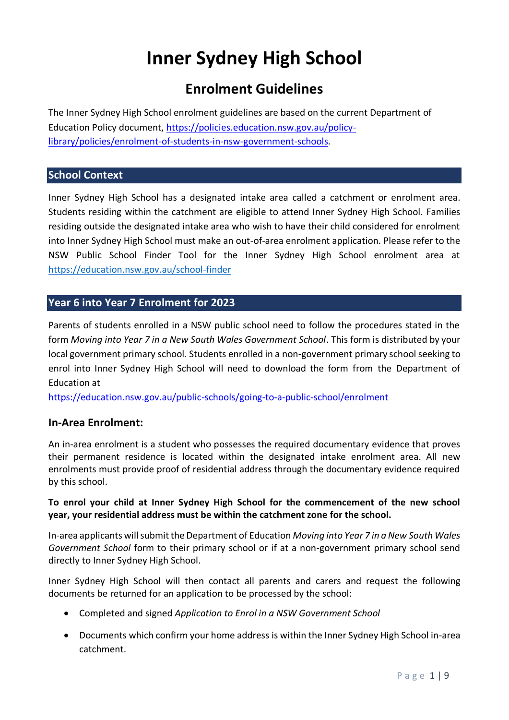# **Inner Sydney High School**

## **Enrolment Guidelines**

The Inner Sydney High School enrolment guidelines are based on the current Department of Education Policy document, [https://policies.education.nsw.gov.au/policy](https://policies.education.nsw.gov.au/policy-library/policies/enrolment-of-students-in-nsw-government-schools)[library/policies/enrolment-of-students-in-nsw-government-schools](https://policies.education.nsw.gov.au/policy-library/policies/enrolment-of-students-in-nsw-government-schools)*.* 

## **School Context**

Inner Sydney High School has a designated intake area called a catchment or enrolment area. Students residing within the catchment are eligible to attend Inner Sydney High School. Families residing outside the designated intake area who wish to have their child considered for enrolment into Inner Sydney High School must make an out-of-area enrolment application. Please refer to the NSW Public School Finder Tool for the Inner Sydney High School enrolment area at <https://education.nsw.gov.au/school-finder>

## **Year 6 into Year 7 Enrolment for 2023**

Parents of students enrolled in a NSW public school need to follow the procedures stated in the form *Moving into Year 7 in a New South Wales Government School*. This form is distributed by your local government primary school. Students enrolled in a non-government primary school seeking to enrol into Inner Sydney High School will need to download the form from the Department of Education at

<https://education.nsw.gov.au/public-schools/going-to-a-public-school/enrolment>

## **In-Area Enrolment:**

An in-area enrolment is a student who possesses the required documentary evidence that proves their permanent residence is located within the designated intake enrolment area. All new enrolments must provide proof of residential address through the documentary evidence required by this school.

#### **To enrol your child at Inner Sydney High School for the commencement of the new school year, your residential address must be within the catchment zone for the school.**

In-area applicants will submit the Department of Education *Moving into Year 7 in a New South Wales Government School* form to their primary school or if at a non-government primary school send directly to Inner Sydney High School.

Inner Sydney High School will then contact all parents and carers and request the following documents be returned for an application to be processed by the school:

- Completed and signed *Application to Enrol in a NSW Government School*
- Documents which confirm your home address is within the Inner Sydney High School in-area catchment.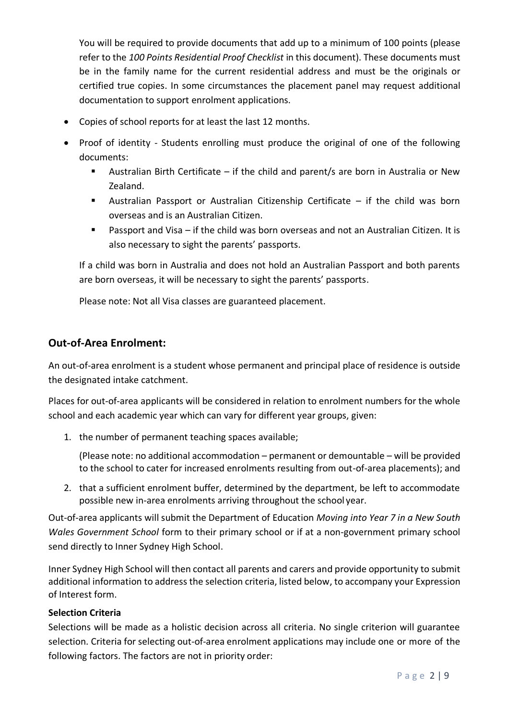You will be required to provide documents that add up to a minimum of 100 points (please refer to the *100 Points Residential Proof Checklist* in this document). These documents must be in the family name for the current residential address and must be the originals or certified true copies. In some circumstances the placement panel may request additional documentation to support enrolment applications.

- Copies of school reports for at least the last 12 months.
- Proof of identity Students enrolling must produce the original of one of the following documents:
	- Australian Birth Certificate if the child and parent/s are born in Australia or New Zealand.
	- Australian Passport or Australian Citizenship Certificate if the child was born overseas and is an Australian Citizen.
	- Passport and Visa if the child was born overseas and not an Australian Citizen. It is also necessary to sight the parents' passports.

If a child was born in Australia and does not hold an Australian Passport and both parents are born overseas, it will be necessary to sight the parents' passports.

Please note: Not all Visa classes are guaranteed placement.

## **Out-of-Area Enrolment:**

An out-of-area enrolment is a student whose permanent and principal place of residence is outside the designated intake catchment.

Places for out-of-area applicants will be considered in relation to enrolment numbers for the whole school and each academic year which can vary for different year groups, given:

1. the number of permanent teaching spaces available;

(Please note: no additional accommodation – permanent or demountable – will be provided to the school to cater for increased enrolments resulting from out-of-area placements); and

2. that a sufficient enrolment buffer, determined by the department, be left to accommodate possible new in-area enrolments arriving throughout the school year.

Out-of-area applicants will submit the Department of Education *Moving into Year 7 in a New South Wales Government School* form to their primary school or if at a non-government primary school send directly to Inner Sydney High School.

Inner Sydney High School will then contact all parents and carers and provide opportunity to submit additional information to address the selection criteria, listed below, to accompany your Expression of Interest form.

## **Selection Criteria**

Selections will be made as a holistic decision across all criteria. No single criterion will guarantee selection. Criteria for selecting out-of-area enrolment applications may include one or more of the following factors. The factors are not in priority order: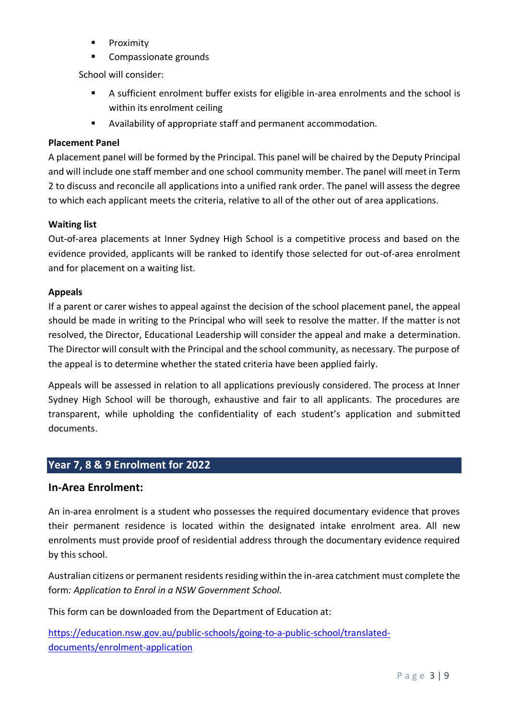- **Proximity**
- Compassionate grounds

School will consider:

- A sufficient enrolment buffer exists for eligible in-area enrolments and the school is within its enrolment ceiling
- Availability of appropriate staff and permanent accommodation.

### **Placement Panel**

A placement panel will be formed by the Principal. This panel will be chaired by the Deputy Principal and will include one staff member and one school community member. The panel will meet in Term 2 to discuss and reconcile all applications into a unified rank order. The panel will assess the degree to which each applicant meets the criteria, relative to all of the other out of area applications.

#### **Waiting list**

Out-of-area placements at Inner Sydney High School is a competitive process and based on the evidence provided, applicants will be ranked to identify those selected for out-of-area enrolment and for placement on a waiting list.

#### **Appeals**

If a parent or carer wishes to appeal against the decision of the school placement panel, the appeal should be made in writing to the Principal who will seek to resolve the matter. If the matter is not resolved, the Director, Educational Leadership will consider the appeal and make a determination. The Director will consult with the Principal and the school community, as necessary. The purpose of the appeal is to determine whether the stated criteria have been applied fairly.

Appeals will be assessed in relation to all applications previously considered. The process at Inner Sydney High School will be thorough, exhaustive and fair to all applicants. The procedures are transparent, while upholding the confidentiality of each student's application and submitted documents.

## **Year 7, 8 & 9 Enrolment for 2022**

## **In-Area Enrolment:**

An in-area enrolment is a student who possesses the required documentary evidence that proves their permanent residence is located within the designated intake enrolment area. All new enrolments must provide proof of residential address through the documentary evidence required by this school.

Australian citizens or permanent residents residing within the in-area catchment must complete the form*: Application to Enrol in a NSW Government School.*

This form can be downloaded from the Department of Education at:

[https://education.nsw.gov.au/public-schools/going-to-a-public-school/translated](https://education.nsw.gov.au/public-schools/going-to-a-public-school/translated-documents/enrolment-application)[documents/enrolment-application](https://education.nsw.gov.au/public-schools/going-to-a-public-school/translated-documents/enrolment-application)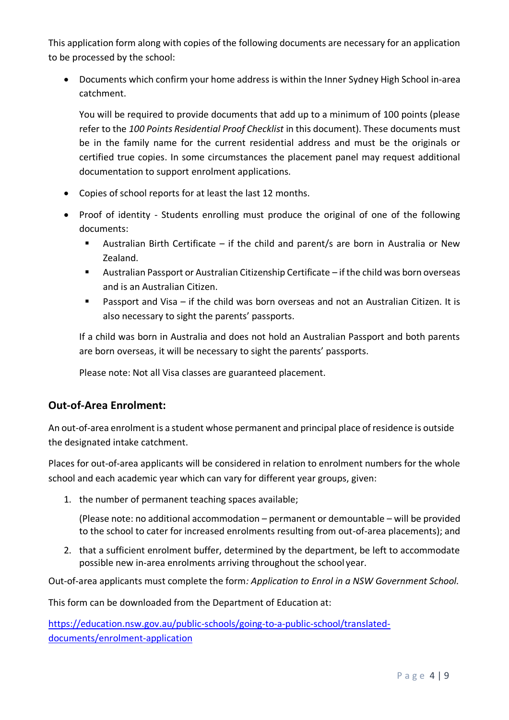This application form along with copies of the following documents are necessary for an application to be processed by the school:

• Documents which confirm your home address is within the Inner Sydney High School in-area catchment.

You will be required to provide documents that add up to a minimum of 100 points (please refer to the *100 Points Residential Proof Checklist* in this document). These documents must be in the family name for the current residential address and must be the originals or certified true copies. In some circumstances the placement panel may request additional documentation to support enrolment applications.

- Copies of school reports for at least the last 12 months.
- Proof of identity Students enrolling must produce the original of one of the following documents:
	- Australian Birth Certificate if the child and parent/s are born in Australia or New Zealand.
	- Australian Passport or Australian Citizenship Certificate if the child was born overseas and is an Australian Citizen.
	- Passport and Visa if the child was born overseas and not an Australian Citizen. It is also necessary to sight the parents' passports.

If a child was born in Australia and does not hold an Australian Passport and both parents are born overseas, it will be necessary to sight the parents' passports.

Please note: Not all Visa classes are guaranteed placement.

## **Out-of-Area Enrolment:**

An out-of-area enrolment is a student whose permanent and principal place of residence is outside the designated intake catchment.

Places for out-of-area applicants will be considered in relation to enrolment numbers for the whole school and each academic year which can vary for different year groups, given:

1. the number of permanent teaching spaces available;

(Please note: no additional accommodation – permanent or demountable – will be provided to the school to cater for increased enrolments resulting from out-of-area placements); and

2. that a sufficient enrolment buffer, determined by the department, be left to accommodate possible new in-area enrolments arriving throughout the school year.

Out-of-area applicants must complete the form*: Application to Enrol in a NSW Government School.*

This form can be downloaded from the Department of Education at:

[https://education.nsw.gov.au/public-schools/going-to-a-public-school/translated](https://education.nsw.gov.au/public-schools/going-to-a-public-school/translated-documents/enrolment-application)[documents/enrolment-application](https://education.nsw.gov.au/public-schools/going-to-a-public-school/translated-documents/enrolment-application)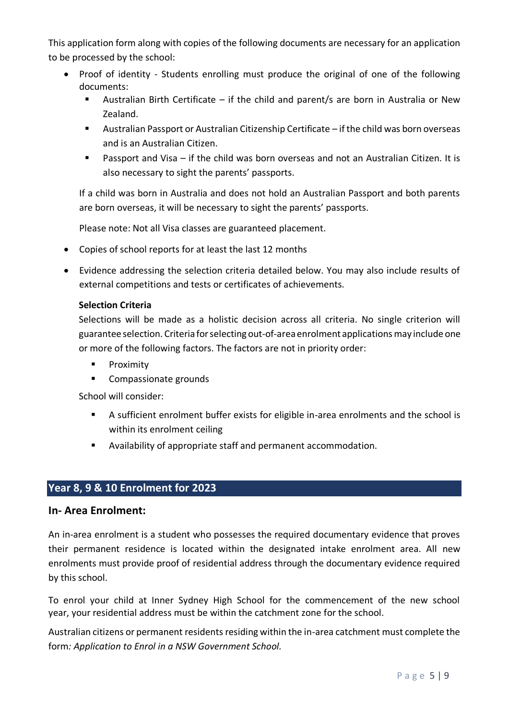This application form along with copies of the following documents are necessary for an application to be processed by the school:

- Proof of identity Students enrolling must produce the original of one of the following documents:
	- Australian Birth Certificate if the child and parent/s are born in Australia or New Zealand.
	- Australian Passport or Australian Citizenship Certificate if the child was born overseas and is an Australian Citizen.
	- Passport and Visa if the child was born overseas and not an Australian Citizen. It is also necessary to sight the parents' passports.

If a child was born in Australia and does not hold an Australian Passport and both parents are born overseas, it will be necessary to sight the parents' passports.

Please note: Not all Visa classes are guaranteed placement.

- Copies of school reports for at least the last 12 months
- Evidence addressing the selection criteria detailed below. You may also include results of external competitions and tests or certificates of achievements.

#### **Selection Criteria**

Selections will be made as a holistic decision across all criteria. No single criterion will guarantee selection. Criteria forselecting out-of-area enrolment applicationsmay include one or more of the following factors. The factors are not in priority order:

- **■** Proximity
- Compassionate grounds

School will consider:

- A sufficient enrolment buffer exists for eligible in-area enrolments and the school is within its enrolment ceiling
- Availability of appropriate staff and permanent accommodation.

## **Year 8, 9 & 10 Enrolment for 2023**

#### **In- Area Enrolment:**

An in-area enrolment is a student who possesses the required documentary evidence that proves their permanent residence is located within the designated intake enrolment area. All new enrolments must provide proof of residential address through the documentary evidence required by this school.

To enrol your child at Inner Sydney High School for the commencement of the new school year, your residential address must be within the catchment zone for the school.

Australian citizens or permanent residents residing within the in-area catchment must complete the form*: Application to Enrol in a NSW Government School.*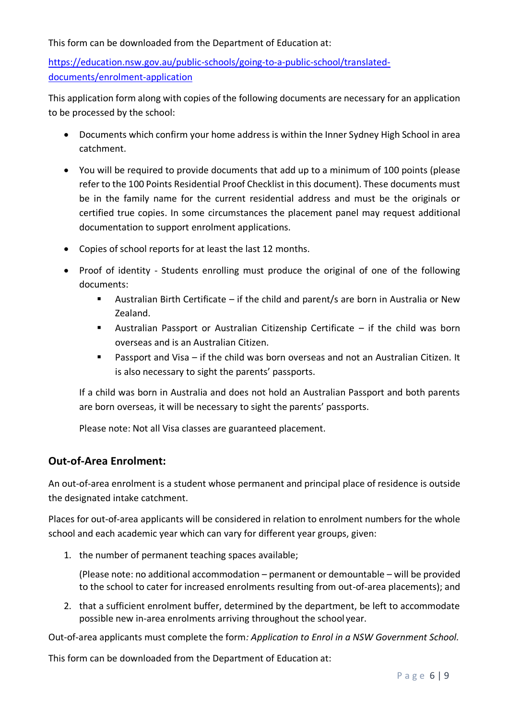This form can be downloaded from the Department of Education at:

[https://education.nsw.gov.au/public-schools/going-to-a-public-school/translated](https://education.nsw.gov.au/public-schools/going-to-a-public-school/translated-documents/enrolment-application)[documents/enrolment-application](https://education.nsw.gov.au/public-schools/going-to-a-public-school/translated-documents/enrolment-application)

This application form along with copies of the following documents are necessary for an application to be processed by the school:

- Documents which confirm your home address is within the Inner Sydney High School in area catchment.
- You will be required to provide documents that add up to a minimum of 100 points (please refer to the 100 Points Residential Proof Checklist in this document). These documents must be in the family name for the current residential address and must be the originals or certified true copies. In some circumstances the placement panel may request additional documentation to support enrolment applications.
- Copies of school reports for at least the last 12 months.
- Proof of identity Students enrolling must produce the original of one of the following documents:
	- Australian Birth Certificate if the child and parent/s are born in Australia or New Zealand.
	- Australian Passport or Australian Citizenship Certificate if the child was born overseas and is an Australian Citizen.
	- Passport and Visa if the child was born overseas and not an Australian Citizen. It is also necessary to sight the parents' passports.

If a child was born in Australia and does not hold an Australian Passport and both parents are born overseas, it will be necessary to sight the parents' passports.

Please note: Not all Visa classes are guaranteed placement.

## **Out-of-Area Enrolment:**

An out-of-area enrolment is a student whose permanent and principal place of residence is outside the designated intake catchment.

Places for out-of-area applicants will be considered in relation to enrolment numbers for the whole school and each academic year which can vary for different year groups, given:

1. the number of permanent teaching spaces available;

(Please note: no additional accommodation – permanent or demountable – will be provided to the school to cater for increased enrolments resulting from out-of-area placements); and

2. that a sufficient enrolment buffer, determined by the department, be left to accommodate possible new in-area enrolments arriving throughout the school year.

Out-of-area applicants must complete the form*: Application to Enrol in a NSW Government School.*

This form can be downloaded from the Department of Education at: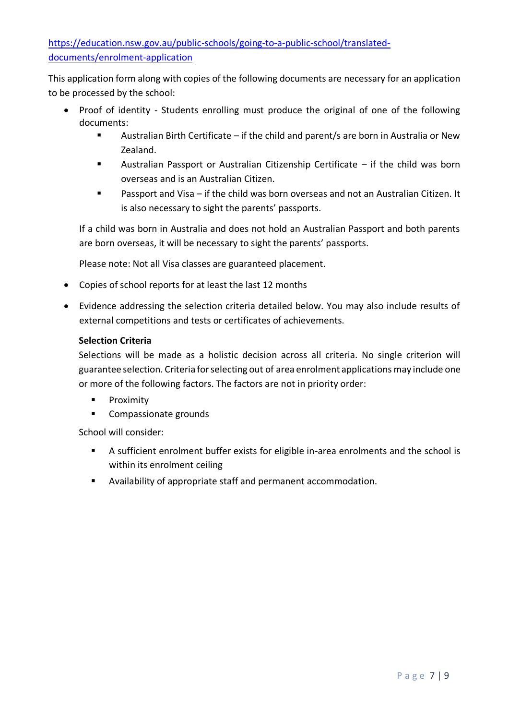[https://education.nsw.gov.au/public-schools/going-to-a-public-school/translated](https://education.nsw.gov.au/public-schools/going-to-a-public-school/translated-documents/enrolment-application)[documents/enrolment-application](https://education.nsw.gov.au/public-schools/going-to-a-public-school/translated-documents/enrolment-application)

This application form along with copies of the following documents are necessary for an application to be processed by the school:

- Proof of identity Students enrolling must produce the original of one of the following documents:
	- Australian Birth Certificate if the child and parent/s are born in Australia or New Zealand.
	- Australian Passport or Australian Citizenship Certificate  $-$  if the child was born overseas and is an Australian Citizen.
	- Passport and Visa if the child was born overseas and not an Australian Citizen. It is also necessary to sight the parents' passports.

If a child was born in Australia and does not hold an Australian Passport and both parents are born overseas, it will be necessary to sight the parents' passports.

Please note: Not all Visa classes are guaranteed placement.

- Copies of school reports for at least the last 12 months
- Evidence addressing the selection criteria detailed below. You may also include results of external competitions and tests or certificates of achievements.

## **Selection Criteria**

Selections will be made as a holistic decision across all criteria. No single criterion will guarantee selection. Criteria forselecting out of area enrolment applications may include one or more of the following factors. The factors are not in priority order:

- **■** Proximity
- Compassionate grounds

School will consider:

- A sufficient enrolment buffer exists for eligible in-area enrolments and the school is within its enrolment ceiling
- Availability of appropriate staff and permanent accommodation.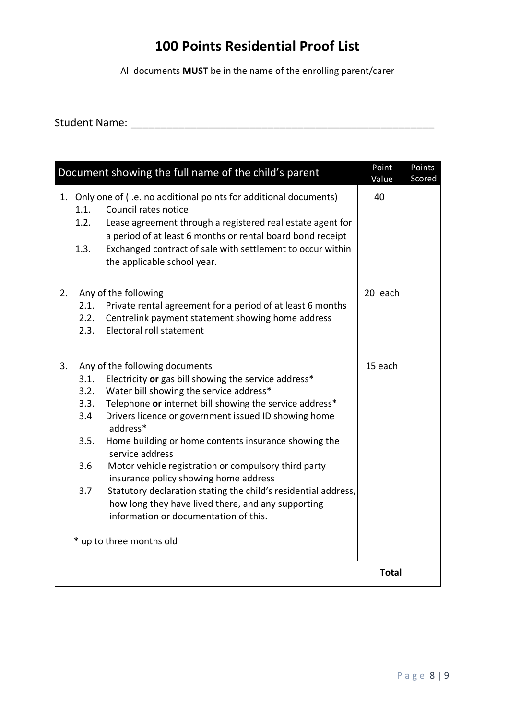## **100 Points Residential Proof List**

All documents **MUST** be in the name of the enrolling parent/carer

Student Name: \_\_\_\_\_\_\_\_\_\_\_\_\_\_\_\_\_\_\_\_\_\_\_\_\_\_\_\_\_\_\_\_\_\_\_\_\_\_\_\_\_\_\_\_\_\_\_\_\_\_\_

| Document showing the full name of the child's parent |                                                   |                                                                                                                                                                                                                                                                                                                                                                                                                                                                                                                                                                                                                                           | Point<br>Value | Points<br>Scored |
|------------------------------------------------------|---------------------------------------------------|-------------------------------------------------------------------------------------------------------------------------------------------------------------------------------------------------------------------------------------------------------------------------------------------------------------------------------------------------------------------------------------------------------------------------------------------------------------------------------------------------------------------------------------------------------------------------------------------------------------------------------------------|----------------|------------------|
|                                                      | 1.1.<br>1.2.<br>1.3.                              | 1. Only one of (i.e. no additional points for additional documents)<br>Council rates notice<br>Lease agreement through a registered real estate agent for<br>a period of at least 6 months or rental board bond receipt<br>Exchanged contract of sale with settlement to occur within<br>the applicable school year.                                                                                                                                                                                                                                                                                                                      | 40             |                  |
| 2.                                                   | 2.1.<br>2.2.<br>2.3.                              | Any of the following<br>Private rental agreement for a period of at least 6 months<br>Centrelink payment statement showing home address<br>Electoral roll statement                                                                                                                                                                                                                                                                                                                                                                                                                                                                       | 20 each        |                  |
| 3.                                                   | 3.1.<br>3.2.<br>3.3.<br>3.4<br>3.5.<br>3.6<br>3.7 | Any of the following documents<br>Electricity or gas bill showing the service address*<br>Water bill showing the service address*<br>Telephone or internet bill showing the service address*<br>Drivers licence or government issued ID showing home<br>address*<br>Home building or home contents insurance showing the<br>service address<br>Motor vehicle registration or compulsory third party<br>insurance policy showing home address<br>Statutory declaration stating the child's residential address,<br>how long they have lived there, and any supporting<br>information or documentation of this.<br>* up to three months old | 15 each        |                  |
| <b>Total</b>                                         |                                                   |                                                                                                                                                                                                                                                                                                                                                                                                                                                                                                                                                                                                                                           |                |                  |